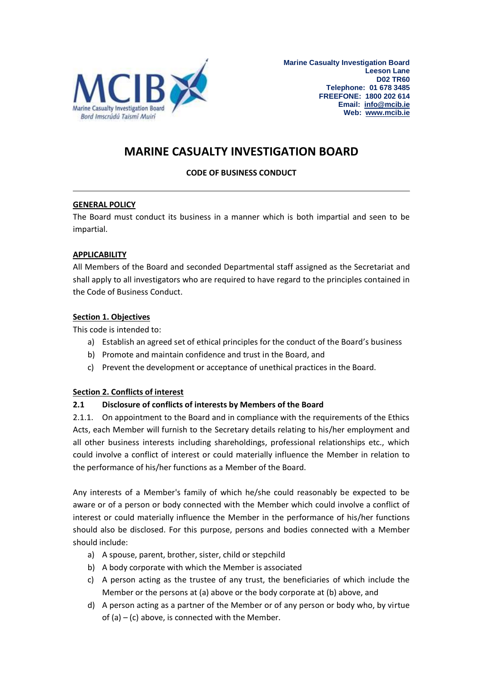

# **MARINE CASUALTY INVESTIGATION BOARD**

# **CODE OF BUSINESS CONDUCT**

## **GENERAL POLICY**

The Board must conduct its business in a manner which is both impartial and seen to be impartial.

## **APPLICABILITY**

All Members of the Board and seconded Departmental staff assigned as the Secretariat and shall apply to all investigators who are required to have regard to the principles contained in the Code of Business Conduct.

## **Section 1. Objectives**

This code is intended to:

- a) Establish an agreed set of ethical principles for the conduct of the Board's business
- b) Promote and maintain confidence and trust in the Board, and
- c) Prevent the development or acceptance of unethical practices in the Board.

## **Section 2. Conflicts of interest**

## **2.1 Disclosure of conflicts of interests by Members of the Board**

2.1.1. On appointment to the Board and in compliance with the requirements of the Ethics Acts, each Member will furnish to the Secretary details relating to his/her employment and all other business interests including shareholdings, professional relationships etc., which could involve a conflict of interest or could materially influence the Member in relation to the performance of his/her functions as a Member of the Board.

Any interests of a Member's family of which he/she could reasonably be expected to be aware or of a person or body connected with the Member which could involve a conflict of interest or could materially influence the Member in the performance of his/her functions should also be disclosed. For this purpose, persons and bodies connected with a Member should include:

- a) A spouse, parent, brother, sister, child or stepchild
- b) A body corporate with which the Member is associated
- c) A person acting as the trustee of any trust, the beneficiaries of which include the Member or the persons at (a) above or the body corporate at (b) above, and
- d) A person acting as a partner of the Member or of any person or body who, by virtue of  $(a) - (c)$  above, is connected with the Member.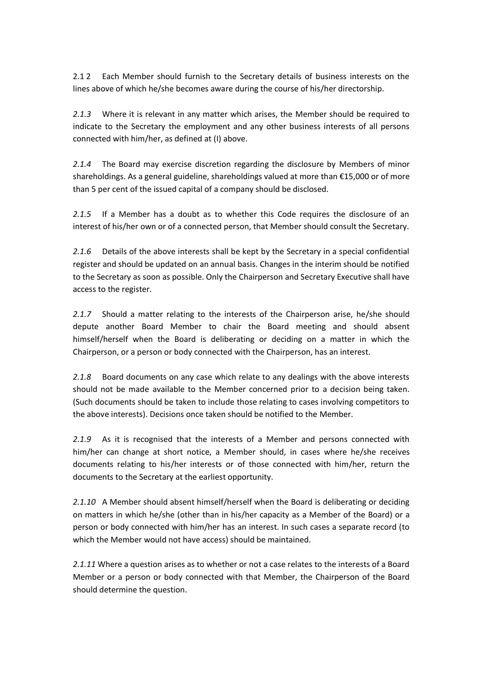2.1 2 Each Member should furnish to the Secretary details of business interests on the lines above of which he/she becomes aware during the course of his/her directorship.

*2.1.3* Where it is relevant in any matter which arises, the Member should be required to indicate to the Secretary the employment and any other business interests of all persons connected with him/her, as defined at (I) above.

*2.1.4* The Board may exercise discretion regarding the disclosure by Members of minor shareholdings. As a general guideline, shareholdings valued at more than €15,000 or of more than 5 per cent of the issued capital of a company should be disclosed.

*2.1.5* If a Member has a doubt as to whether this Code requires the disclosure of an interest of his/her own or of a connected person, that Member should consult the Secretary.

*2.1.6* Details of the above interests shall be kept by the Secretary in a special confidential register and should be updated on an annual basis. Changes in the interim should be notified to the Secretary as soon as possible. Only the Chairperson and Secretary Executive shall have access to the register.

*2.1.7* Should a matter relating to the interests of the Chairperson arise, he/she should depute another Board Member to chair the Board meeting and should absent himself/herself when the Board is deliberating or deciding on a matter in which the Chairperson, or a person or body connected with the Chairperson, has an interest.

*2.1.8* Board documents on any case which relate to any dealings with the above interests should not be made available to the Member concerned prior to a decision being taken. (Such documents should be taken to include those relating to cases involving competitors to the above interests). Decisions once taken should be notified to the Member.

*2.1.9* As it is recognised that the interests of a Member and persons connected with him/her can change at short notice, a Member should, in cases where he/she receives documents relating to his/her interests or of those connected with him/her, return the documents to the Secretary at the earliest opportunity.

*2.1.10* A Member should absent himself/herself when the Board is deliberating or deciding on matters in which he/she (other than in his/her capacity as a Member of the Board) or a person or body connected with him/her has an interest. In such cases a separate record (to which the Member would not have access) should be maintained.

*2.1.11* Where a question arises as to whether or not a case relates to the interests of a Board Member or a person or body connected with that Member, the Chairperson of the Board should determine the question.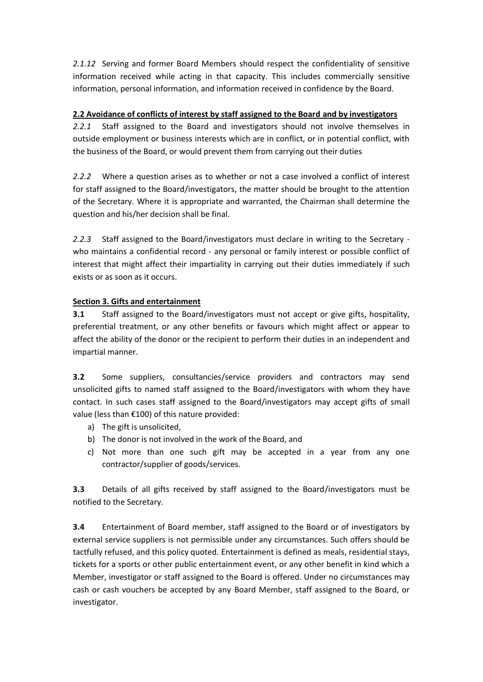*2.1.12* Serving and former Board Members should respect the confidentiality of sensitive information received while acting in that capacity. This includes commercially sensitive information, personal information, and information received in confidence by the Board.

# **2.2 Avoidance of conflicts of interest by staff assigned to the Board and by investigators**

*2.2.1* Staff assigned to the Board and investigators should not involve themselves in outside employment or business interests which are in conflict, or in potential conflict, with the business of the Board, or would prevent them from carrying out their duties

*2.2.2* Where a question arises as to whether or not a case involved a conflict of interest for staff assigned to the Board/investigators, the matter should be brought to the attention of the Secretary. Where it is appropriate and warranted, the Chairman shall determine the question and his/her decision shall be final.

*2.2.3* Staff assigned to the Board/investigators must declare in writing to the Secretary who maintains a confidential record - any personal or family interest or possible conflict of interest that might affect their impartiality in carrying out their duties immediately if such exists or as soon as it occurs.

# **Section 3. Gifts and entertainment**

**3.1** Staff assigned to the Board/investigators must not accept or give gifts, hospitality, preferential treatment, or any other benefits or favours which might affect or appear to affect the ability of the donor or the recipient to perform their duties in an independent and impartial manner.

**3.2** Some suppliers, consultancies/service providers and contractors may send unsolicited gifts to named staff assigned to the Board/investigators with whom they have contact. In such cases staff assigned to the Board/investigators may accept gifts of small value (less than €100) of this nature provided:

- a) The gift is unsolicited,
- b) The donor is not involved in the work of the Board, and
- c) Not more than one such gift may be accepted in a year from any one contractor/supplier of goods/services.

**3.3** Details of all gifts received by staff assigned to the Board/investigators must be notified to the Secretary.

**3.4** Entertainment of Board member, staff assigned to the Board or of investigators by external service suppliers is not permissible under any circumstances. Such offers should be tactfully refused, and this policy quoted. Entertainment is defined as meals, residential stays, tickets for a sports or other public entertainment event, or any other benefit in kind which a Member, investigator or staff assigned to the Board is offered. Under no circumstances may cash or cash vouchers be accepted by any Board Member, staff assigned to the Board, or investigator.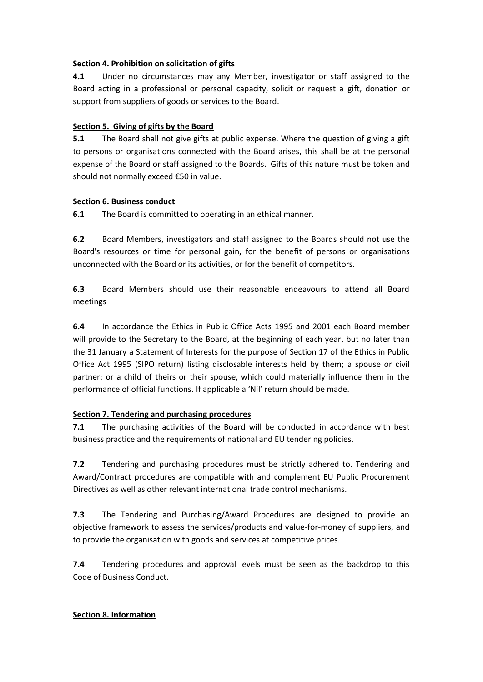## **Section 4. Prohibition on solicitation of gifts**

**4.1** Under no circumstances may any Member, investigator or staff assigned to the Board acting in a professional or personal capacity, solicit or request a gift, donation or support from suppliers of goods or services to the Board.

## **Section 5. Giving of gifts by the Board**

**5.1** The Board shall not give gifts at public expense. Where the question of giving a gift to persons or organisations connected with the Board arises, this shall be at the personal expense of the Board or staff assigned to the Boards. Gifts of this nature must be token and should not normally exceed €50 in value.

#### **Section 6. Business conduct**

**6.1** The Board is committed to operating in an ethical manner.

**6.2** Board Members, investigators and staff assigned to the Boards should not use the Board's resources or time for personal gain, for the benefit of persons or organisations unconnected with the Board or its activities, or for the benefit of competitors.

**6.3** Board Members should use their reasonable endeavours to attend all Board meetings

**6.4** In accordance the Ethics in Public Office Acts 1995 and 2001 each Board member will provide to the Secretary to the Board, at the beginning of each year, but no later than the 31 January a Statement of Interests for the purpose of Section 17 of the Ethics in Public Office Act 1995 (SIPO return) listing disclosable interests held by them; a spouse or civil partner; or a child of theirs or their spouse, which could materially influence them in the performance of official functions. If applicable a 'Nil' return should be made.

## **Section 7. Tendering and purchasing procedures**

**7.1** The purchasing activities of the Board will be conducted in accordance with best business practice and the requirements of national and EU tendering policies.

**7.2** Tendering and purchasing procedures must be strictly adhered to. Tendering and Award/Contract procedures are compatible with and complement EU Public Procurement Directives as well as other relevant international trade control mechanisms.

**7.3** The Tendering and Purchasing/Award Procedures are designed to provide an objective framework to assess the services/products and value-for-money of suppliers, and to provide the organisation with goods and services at competitive prices.

**7.4** Tendering procedures and approval levels must be seen as the backdrop to this Code of Business Conduct.

## **Section 8. Information**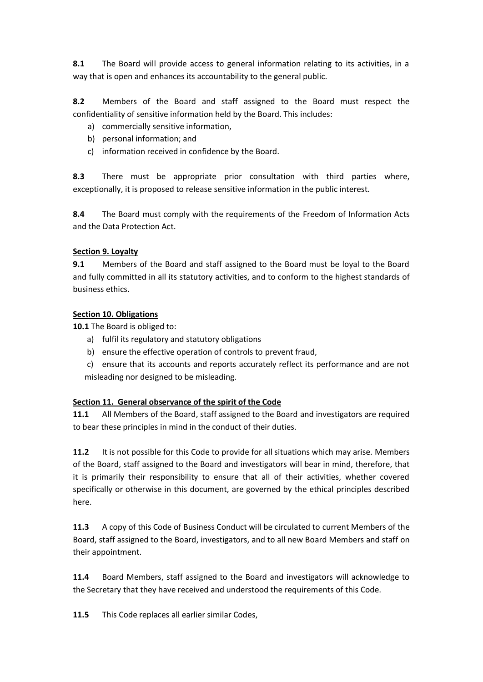**8.1** The Board will provide access to general information relating to its activities, in a way that is open and enhances its accountability to the general public.

**8.2** Members of the Board and staff assigned to the Board must respect the confidentiality of sensitive information held by the Board. This includes:

- a) commercially sensitive information,
- b) personal information; and
- c) information received in confidence by the Board.

**8.3** There must be appropriate prior consultation with third parties where, exceptionally, it is proposed to release sensitive information in the public interest.

**8.4** The Board must comply with the requirements of the Freedom of Information Acts and the Data Protection Act.

#### **Section 9. Loyalty**

**9.1** Members of the Board and staff assigned to the Board must be loyal to the Board and fully committed in all its statutory activities, and to conform to the highest standards of business ethics.

#### **Section 10. Obligations**

**10.1** The Board is obliged to:

- a) fulfil its regulatory and statutory obligations
- b) ensure the effective operation of controls to prevent fraud,
- c) ensure that its accounts and reports accurately reflect its performance and are not misleading nor designed to be misleading.

## **Section 11. General observance of the spirit of the Code**

**11.1** All Members of the Board, staff assigned to the Board and investigators are required to bear these principles in mind in the conduct of their duties.

**11.2** It is not possible for this Code to provide for all situations which may arise. Members of the Board, staff assigned to the Board and investigators will bear in mind, therefore, that it is primarily their responsibility to ensure that all of their activities, whether covered specifically or otherwise in this document, are governed by the ethical principles described here.

**11.3** A copy of this Code of Business Conduct will be circulated to current Members of the Board, staff assigned to the Board, investigators, and to all new Board Members and staff on their appointment.

**11.4** Board Members, staff assigned to the Board and investigators will acknowledge to the Secretary that they have received and understood the requirements of this Code.

**11.5** This Code replaces all earlier similar Codes,